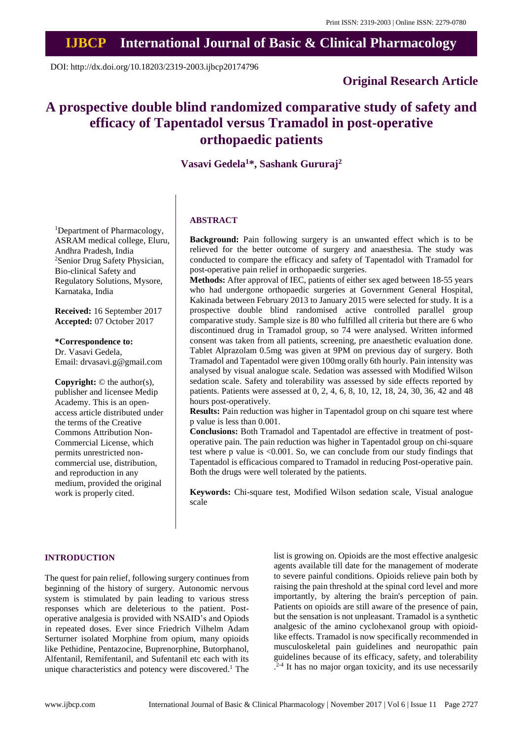# **IJBCP International Journal of Basic & Clinical Pharmacology**

DOI: http://dx.doi.org/10.18203/2319-2003.ijbcp20174796

# **Original Research Article**

# **A prospective double blind randomized comparative study of safety and efficacy of Tapentadol versus Tramadol in post-operative orthopaedic patients**

# **Vasavi Gedela<sup>1</sup>\*, Sashank Gururaj<sup>2</sup>**

<sup>1</sup>Department of Pharmacology, ASRAM medical college, Eluru, Andhra Pradesh, India <sup>2</sup>Senior Drug Safety Physician, Bio-clinical Safety and Regulatory Solutions, Mysore, Karnataka, India

**Received:** 16 September 2017 **Accepted:** 07 October 2017

**\*Correspondence to:** Dr. Vasavi Gedela, Email: drvasavi.g@gmail.com

**Copyright:** © the author(s), publisher and licensee Medip Academy. This is an openaccess article distributed under the terms of the Creative Commons Attribution Non-Commercial License, which permits unrestricted noncommercial use, distribution, and reproduction in any medium, provided the original work is properly cited.

# **ABSTRACT**

**Background:** Pain following surgery is an unwanted effect which is to be relieved for the better outcome of surgery and anaesthesia. The study was conducted to compare the efficacy and safety of Tapentadol with Tramadol for post-operative pain relief in orthopaedic surgeries.

**Methods:** After approval of IEC, patients of either sex aged between 18-55 years who had undergone orthopaedic surgeries at Government General Hospital, Kakinada between February 2013 to January 2015 were selected for study. It is a prospective double blind randomised active controlled parallel group comparative study. Sample size is 80 who fulfilled all criteria but there are 6 who discontinued drug in Tramadol group, so 74 were analysed. Written informed consent was taken from all patients, screening, pre anaesthetic evaluation done. Tablet Alprazolam 0.5mg was given at 9PM on previous day of surgery. Both Tramadol and Tapentadol were given 100mg orally 6th hourly. Pain intensity was analysed by visual analogue scale. Sedation was assessed with Modified Wilson sedation scale. Safety and tolerability was assessed by side effects reported by patients. Patients were assessed at 0, 2, 4, 6, 8, 10, 12, 18, 24, 30, 36, 42 and 48 hours post-operatively.

**Results:** Pain reduction was higher in Tapentadol group on chi square test where p value is less than 0.001.

**Conclusions:** Both Tramadol and Tapentadol are effective in treatment of postoperative pain. The pain reduction was higher in Tapentadol group on chi-square test where p value is <0.001. So, we can conclude from our study findings that Tapentadol is efficacious compared to Tramadol in reducing Post-operative pain. Both the drugs were well tolerated by the patients.

**Keywords:** Chi-square test, Modified Wilson sedation scale, Visual analogue scale

#### **INTRODUCTION**

The quest for pain relief, following surgery continues from beginning of the history of surgery. Autonomic nervous system is stimulated by pain leading to various stress responses which are deleterious to the patient. Postoperative analgesia is provided with NSAID's and Opiods in repeated doses. Ever since Friedrich Vilhelm Adam Serturner isolated Morphine from opium, many opioids like Pethidine, Pentazocine, Buprenorphine, Butorphanol, Alfentanil, Remifentanil, and Sufentanil etc each with its unique characteristics and potency were discovered.<sup>1</sup> The list is growing on. Opioids are the most effective analgesic agents available till date for the management of moderate to severe painful conditions. Opioids relieve pain both by raising the pain threshold at the spinal cord level and more importantly, by altering the brain's perception of pain. Patients on opioids are still aware of the presence of pain, but the sensation is not unpleasant. Tramadol is a synthetic analgesic of the amino cyclohexanol group with opioidlike effects. Tramadol is now specifically recommended in musculoskeletal pain guidelines and neuropathic pain guidelines because of its efficacy, safety, and tolerability . 2-4 It has no major organ toxicity, and its use necessarily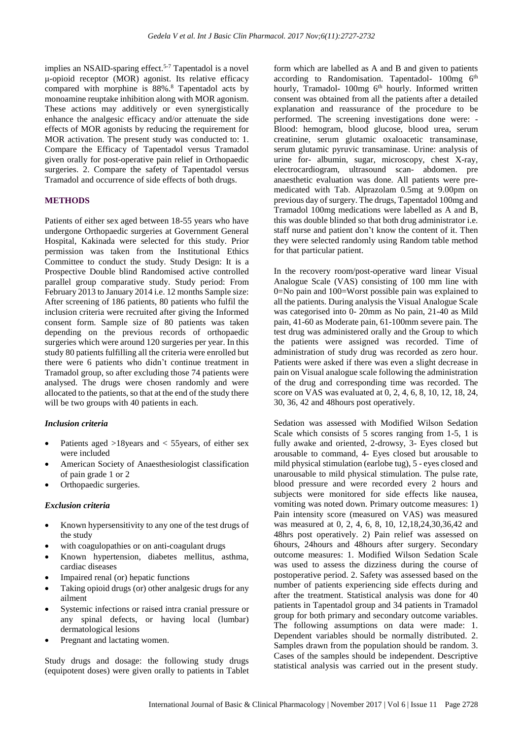implies an NSAID-sparing effect.<sup>5-7</sup> Tapentadol is a novel μ-opioid receptor (MOR) agonist. Its relative efficacy compared with morphine is 88%.<sup>8</sup> Tapentadol acts by monoamine reuptake inhibition along with MOR agonism. These actions may additively or even synergistically enhance the analgesic efficacy and/or attenuate the side effects of MOR agonists by reducing the requirement for MOR activation. The present study was conducted to: 1. Compare the Efficacy of Tapentadol versus Tramadol given orally for post-operative pain relief in Orthopaedic surgeries. 2. Compare the safety of Tapentadol versus Tramadol and occurrence of side effects of both drugs.

## **METHODS**

Patients of either sex aged between 18-55 years who have undergone Orthopaedic surgeries at Government General Hospital, Kakinada were selected for this study. Prior permission was taken from the Institutional Ethics Committee to conduct the study. Study Design: It is a Prospective Double blind Randomised active controlled parallel group comparative study. Study period: From February 2013 to January 2014 i.e. 12 months Sample size: After screening of 186 patients, 80 patients who fulfil the inclusion criteria were recruited after giving the Informed consent form. Sample size of 80 patients was taken depending on the previous records of orthopaedic surgeries which were around 120 surgeries per year. In this study 80 patients fulfilling all the criteria were enrolled but there were 6 patients who didn't continue treatment in Tramadol group, so after excluding those 74 patients were analysed. The drugs were chosen randomly and were allocated to the patients, so that at the end of the study there will be two groups with 40 patients in each.

#### *Inclusion criteria*

- Patients aged  $>18$ years and  $<$  55 years, of either sex were included
- American Society of Anaesthesiologist classification of pain grade 1 or 2
- Orthopaedic surgeries.

#### *Exclusion criteria*

- Known hypersensitivity to any one of the test drugs of the study
- with coagulopathies or on anti-coagulant drugs
- Known hypertension, diabetes mellitus, asthma, cardiac diseases
- Impaired renal (or) hepatic functions
- Taking opioid drugs (or) other analgesic drugs for any ailment
- Systemic infections or raised intra cranial pressure or any spinal defects, or having local (lumbar) dermatological lesions
- Pregnant and lactating women.

Study drugs and dosage: the following study drugs (equipotent doses) were given orally to patients in Tablet form which are labelled as A and B and given to patients according to Randomisation. Tapentadol- 100mg 6<sup>th</sup> hourly, Tramadol- 100mg 6<sup>th</sup> hourly. Informed written consent was obtained from all the patients after a detailed explanation and reassurance of the procedure to be performed. The screening investigations done were: - Blood: hemogram, blood glucose, blood urea, serum creatinine, serum glutamic oxaloacetic transaminase, serum glutamic pyruvic transaminase. Urine: analysis of urine for- albumin, sugar, microscopy, chest X-ray, electrocardiogram, ultrasound scan- abdomen. pre anaesthetic evaluation was done. All patients were premedicated with Tab. Alprazolam 0.5mg at 9.00pm on previous day of surgery. The drugs, Tapentadol 100mg and Tramadol 100mg medications were labelled as A and B, this was double blinded so that both drug administrator i.e. staff nurse and patient don't know the content of it. Then they were selected randomly using Random table method for that particular patient.

In the recovery room/post-operative ward linear Visual Analogue Scale (VAS) consisting of 100 mm line with 0=No pain and 100=Worst possible pain was explained to all the patients. During analysis the Visual Analogue Scale was categorised into 0- 20mm as No pain, 21-40 as Mild pain, 41-60 as Moderate pain, 61-100mm severe pain. The test drug was administered orally and the Group to which the patients were assigned was recorded. Time of administration of study drug was recorded as zero hour. Patients were asked if there was even a slight decrease in pain on Visual analogue scale following the administration of the drug and corresponding time was recorded. The score on VAS was evaluated at 0, 2, 4, 6, 8, 10, 12, 18, 24, 30, 36, 42 and 48hours post operatively.

Sedation was assessed with Modified Wilson Sedation Scale which consists of 5 scores ranging from 1-5, 1 is fully awake and oriented, 2-drowsy, 3- Eyes closed but arousable to command, 4- Eyes closed but arousable to mild physical stimulation (earlobe tug), 5 - eyes closed and unarousable to mild physical stimulation. The pulse rate, blood pressure and were recorded every 2 hours and subjects were monitored for side effects like nausea, vomiting was noted down. Primary outcome measures: 1) Pain intensity score (measured on VAS) was measured was measured at 0, 2, 4, 6, 8, 10, 12,18,24,30,36,42 and 48hrs post operatively. 2) Pain relief was assessed on 6hours, 24hours and 48hours after surgery. Secondary outcome measures: 1. Modified Wilson Sedation Scale was used to assess the dizziness during the course of postoperative period. 2. Safety was assessed based on the number of patients experiencing side effects during and after the treatment. Statistical analysis was done for 40 patients in Tapentadol group and 34 patients in Tramadol group for both primary and secondary outcome variables. The following assumptions on data were made: 1. Dependent variables should be normally distributed. 2. Samples drawn from the population should be random. 3. Cases of the samples should be independent. Descriptive statistical analysis was carried out in the present study.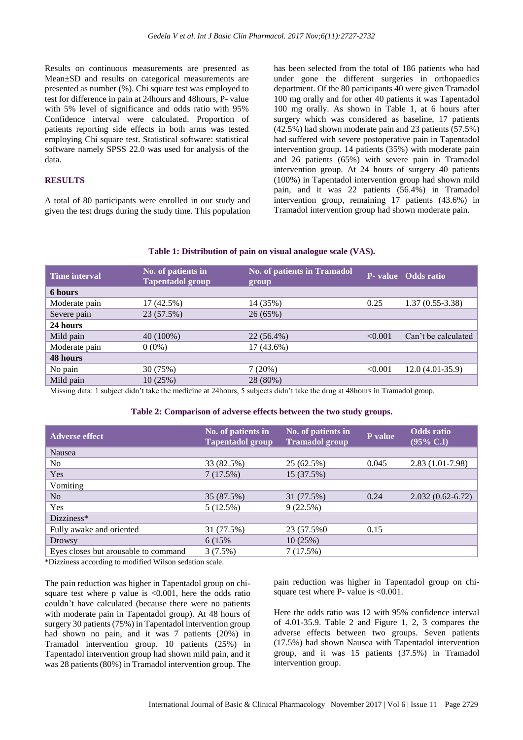Results on continuous measurements are presented as Mean±SD and results on categorical measurements are presented as number (%). Chi square test was employed to test for difference in pain at 24hours and 48hours, P- value with 5% level of significance and odds ratio with 95% Confidence interval were calculated. Proportion of patients reporting side effects in both arms was tested employing Chi square test. Statistical software: statistical software namely SPSS 22.0 was used for analysis of the data.

# **RESULTS**

A total of 80 participants were enrolled in our study and given the test drugs during the study time. This population

has been selected from the total of 186 patients who had under gone the different surgeries in orthopaedics department. Of the 80 participants 40 were given Tramadol 100 mg orally and for other 40 patients it was Tapentadol 100 mg orally. As shown in Table 1, at 6 hours after surgery which was considered as baseline, 17 patients (42.5%) had shown moderate pain and 23 patients (57.5%) had suffered with severe postoperative pain in Tapentadol intervention group. 14 patients (35%) with moderate pain and 26 patients (65%) with severe pain in Tramadol intervention group. At 24 hours of surgery 40 patients (100%) in Tapentadol intervention group had shown mild pain, and it was 22 patients (56.4%) in Tramadol intervention group, remaining 17 patients (43.6%) in Tramadol intervention group had shown moderate pain.

#### **Table 1: Distribution of pain on visual analogue scale (VAS).**

| Time interval | No. of patients in<br><b>Tapentadol</b> group | <b>No. of patients in Tramadol</b><br>group |         | P- value Odds ratio |
|---------------|-----------------------------------------------|---------------------------------------------|---------|---------------------|
| 6 hours       |                                               |                                             |         |                     |
| Moderate pain | 17(42.5%)                                     | 14 (35%)                                    | 0.25    | $1.37(0.55-3.38)$   |
| Severe pain   | 23 (57.5%)                                    | 26(65%)                                     |         |                     |
| 24 hours      |                                               |                                             |         |                     |
| Mild pain     | 40 (100%)                                     | 22 (56.4%)                                  | < 0.001 | Can't be calculated |
| Moderate pain | $0(0\%)$                                      | 17 (43.6%)                                  |         |                     |
| 48 hours      |                                               |                                             |         |                     |
| No pain       | 30 (75%)                                      | 7(20%)                                      | < 0.001 | $12.0(4.01-35.9)$   |
| Mild pain     | 10 (25%)                                      | 28 (80%)                                    |         |                     |

Missing data: 1 subject didn't take the medicine at 24hours, 5 subjects didn't take the drug at 48hours in Tramadol group.

#### **Table 2: Comparison of adverse effects between the two study groups.**

| <b>Adverse effect</b>                | No. of patients in<br><b>Tapentadol group</b> | No. of patients in<br><b>Tramadol</b> group | P value | <b>Odds</b> ratio<br>$(95\% \text{ C.1})$ |
|--------------------------------------|-----------------------------------------------|---------------------------------------------|---------|-------------------------------------------|
| Nausea                               |                                               |                                             |         |                                           |
| No                                   | 33 (82.5%)                                    | 25 (62.5%)                                  | 0.045   | $2.83(1.01-7.98)$                         |
| Yes                                  | 7(17.5%)                                      | 15 (37.5%)                                  |         |                                           |
| Vomiting                             |                                               |                                             |         |                                           |
| No                                   | 35 (87.5%)                                    | 31 (77.5%)                                  | 0.24    | $2.032(0.62-6.72)$                        |
| Yes                                  | 5(12.5%)                                      | 9(22.5%)                                    |         |                                           |
| Dizziness*                           |                                               |                                             |         |                                           |
| Fully awake and oriented             | 31 (77.5%)                                    | 23 (57.5%0)                                 | 0.15    |                                           |
| <b>Drowsy</b>                        | 6 (15%)                                       | 10(25%)                                     |         |                                           |
| Eyes closes but arousable to command | 3(7.5%)                                       | 7(17.5%)                                    |         |                                           |

\*Dizziness according to modified Wilson sedation scale.

The pain reduction was higher in Tapentadol group on chisquare test where  $p$  value is <0.001, here the odds ratio couldn't have calculated (because there were no patients with moderate pain in Tapentadol group). At 48 hours of surgery 30 patients(75%) in Tapentadol intervention group had shown no pain, and it was 7 patients (20%) in Tramadol intervention group. 10 patients (25%) in Tapentadol intervention group had shown mild pain, and it was 28 patients (80%) in Tramadol intervention group. The

pain reduction was higher in Tapentadol group on chisquare test where P- value is <0.001.

Here the odds ratio was 12 with 95% confidence interval of 4.01-35.9. Table 2 and Figure 1, 2, 3 compares the adverse effects between two groups. Seven patients (17.5%) had shown Nausea with Tapentadol intervention group, and it was 15 patients (37.5%) in Tramadol intervention group.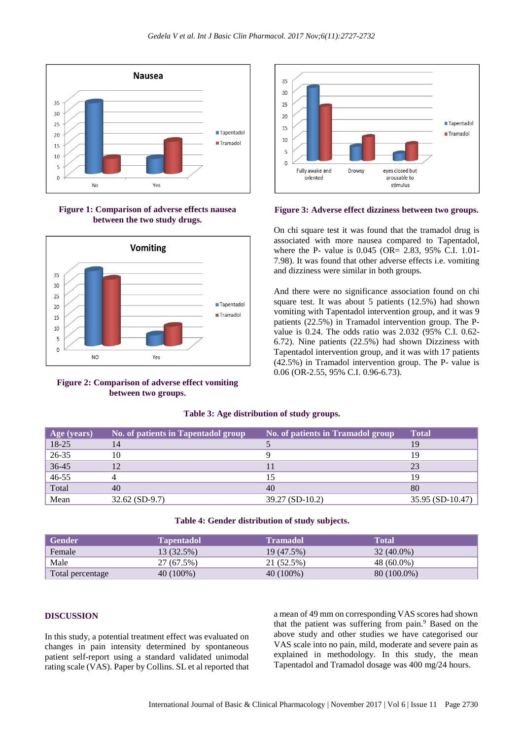

**Figure 1: Comparison of adverse effects nausea between the two study drugs.**



**Figure 2: Comparison of adverse effect vomiting between two groups.**



**Figure 3: Adverse effect dizziness between two groups.**

On chi square test it was found that the tramadol drug is associated with more nausea compared to Tapentadol, where the P- value is 0.045 (OR= 2.83, 95% C.I. 1.01- 7.98). It was found that other adverse effects i.e. vomiting and dizziness were similar in both groups.

And there were no significance association found on chi square test. It was about 5 patients (12.5%) had shown vomiting with Tapentadol intervention group, and it was 9 patients (22.5%) in Tramadol intervention group. The Pvalue is 0.24. The odds ratio was 2.032 (95% C.I. 0.62- 6.72). Nine patients (22.5%) had shown Dizziness with Tapentadol intervention group, and it was with 17 patients (42.5%) in Tramadol intervention group. The P- value is 0.06 (OR-2.55, 95% C.I. 0.96-6.73).

| Age (years) | No. of patients in Tapentadol group | No. of patients in Tramadol group | <b>Total</b>     |
|-------------|-------------------------------------|-----------------------------------|------------------|
| 18-25       | 14                                  |                                   | 19               |
| $26 - 35$   | 10                                  |                                   | 19               |
| 36-45       |                                     |                                   | 23               |
| $46 - 55$   |                                     |                                   | 19               |
| Total       | 40                                  | 40                                | 80               |
| Mean        | $32.62$ (SD-9.7)                    | 39.27 (SD-10.2)                   | 35.95 (SD-10.47) |

### **Table 3: Age distribution of study groups.**

#### **Table 4: Gender distribution of study subjects.**

| <b>Gender</b>    | Tapentadol  | <b>Tramadol</b> | Total         |
|------------------|-------------|-----------------|---------------|
| Female           | 13 (32.5%)  | 19 (47.5%)      | $32(40.0\%)$  |
| Male             | 27 (67.5%)  | 21 (52.5%)      | 48 (60.0%)    |
| Total percentage | $40(100\%)$ | 40 (100%)       | $80(100.0\%)$ |

#### **DISCUSSION**

In this study, a potential treatment effect was evaluated on changes in pain intensity determined by spontaneous patient self-report using a standard validated unimodal rating scale (VAS). Paper by Collins. SL et al reported that a mean of 49 mm on corresponding VAS scores had shown that the patient was suffering from pain.<sup>9</sup> Based on the above study and other studies we have categorised our VAS scale into no pain, mild, moderate and severe pain as explained in methodology. In this study, the mean Tapentadol and Tramadol dosage was 400 mg/24 hours.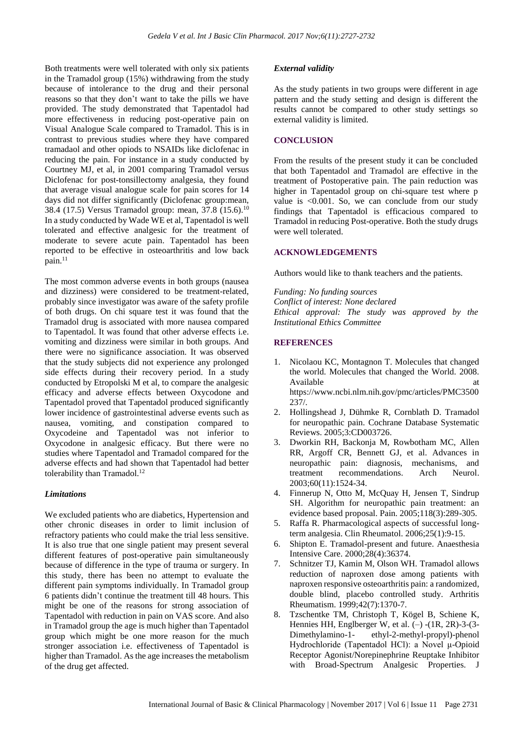Both treatments were well tolerated with only six patients in the Tramadol group (15%) withdrawing from the study because of intolerance to the drug and their personal reasons so that they don't want to take the pills we have provided. The study demonstrated that Tapentadol had more effectiveness in reducing post-operative pain on Visual Analogue Scale compared to Tramadol. This is in contrast to previous studies where they have compared tramadaol and other opiods to NSAIDs like diclofenac in reducing the pain. For instance in a study conducted by Courtney MJ, et al, in 2001 comparing Tramadol versus Diclofenac for post-tonsillectomy analgesia, they found that average visual analogue scale for pain scores for 14 days did not differ significantly (Diclofenac group:mean, 38.4 (17.5) Versus Tramadol group: mean, 37.8 (15.6).<sup>10</sup> In a study conducted by Wade WE et al, Tapentadol is well tolerated and effective analgesic for the treatment of moderate to severe acute pain. Tapentadol has been reported to be effective in osteoarthritis and low back pain.<sup>11</sup>

The most common adverse events in both groups (nausea and dizziness) were considered to be treatment-related, probably since investigator was aware of the safety profile of both drugs. On chi square test it was found that the Tramadol drug is associated with more nausea compared to Tapentadol. It was found that other adverse effects i.e. vomiting and dizziness were similar in both groups. And there were no significance association. It was observed that the study subjects did not experience any prolonged side effects during their recovery period. In a study conducted by Etropolski M et al, to compare the analgesic efficacy and adverse effects between Oxycodone and Tapentadol proved that Tapentadol produced significantly lower incidence of gastrointestinal adverse events such as nausea, vomiting, and constipation compared to Oxycodeine and Tapentadol was not inferior to Oxycodone in analgesic efficacy. But there were no studies where Tapentadol and Tramadol compared for the adverse effects and had shown that Tapentadol had better tolerability than  $T$ ramadol.<sup>12</sup>

## *Limitations*

We excluded patients who are diabetics, Hypertension and other chronic diseases in order to limit inclusion of refractory patients who could make the trial less sensitive. It is also true that one single patient may present several different features of post-operative pain simultaneously because of difference in the type of trauma or surgery. In this study, there has been no attempt to evaluate the different pain symptoms individually. In Tramadol group 6 patients didn't continue the treatment till 48 hours. This might be one of the reasons for strong association of Tapentadol with reduction in pain on VAS score. And also in Tramadol group the age is much higher than Tapentadol group which might be one more reason for the much stronger association i.e. effectiveness of Tapentadol is higher than Tramadol. As the age increases the metabolism of the drug get affected.

#### *External validity*

As the study patients in two groups were different in age pattern and the study setting and design is different the results cannot be compared to other study settings so external validity is limited.

#### **CONCLUSION**

From the results of the present study it can be concluded that both Tapentadol and Tramadol are effective in the treatment of Postoperative pain. The pain reduction was higher in Tapentadol group on chi-square test where p value is <0.001. So, we can conclude from our study findings that Tapentadol is efficacious compared to Tramadol in reducing Post-operative. Both the study drugs were well tolerated.

# **ACKNOWLEDGEMENTS**

Authors would like to thank teachers and the patients.

*Funding: No funding sources Conflict of interest: None declared Ethical approval: The study was approved by the Institutional Ethics Committee*

# **REFERENCES**

- 1. Nicolaou KC, Montagnon T. Molecules that changed the world. Molecules that changed the World. 2008. Available https://www.ncbi.nlm.nih.gov/pmc/articles/PMC3500  $237/$
- 2. Hollingshead J, Dühmke R, Cornblath D. Tramadol for neuropathic pain. Cochrane Database Systematic Reviews. 2005;3:CD003726.
- 3. Dworkin RH, Backonja M, Rowbotham MC, Allen RR, Argoff CR, Bennett GJ, et al. Advances in neuropathic pain: diagnosis, mechanisms, and treatment recommendations. Arch Neurol. 2003;60(11):1524-34.
- 4. Finnerup N, Otto M, McQuay H, Jensen T, Sindrup SH. Algorithm for neuropathic pain treatment: an evidence based proposal. Pain. 2005;118(3):289-305.
- 5. Raffa R. Pharmacological aspects of successful longterm analgesia. Clin Rheumatol. 2006;25(1):9-15.
- 6. Shipton E. Tramadol-present and future. Anaesthesia Intensive Care. 2000;28(4):36374.
- 7. Schnitzer TJ, Kamin M, Olson WH. Tramadol allows reduction of naproxen dose among patients with naproxen responsive osteoarthritis pain: a randomized, double blind, placebo controlled study. Arthritis Rheumatism. 1999;42(7):1370-7.
- 8. Tzschentke TM, Christoph T, Kögel B, Schiene K, Hennies HH, Englberger W, et al.  $(-)$  -(1R, 2R)-3-(3-Dimethylamino-1- ethyl-2-methyl-propyl)-phenol Hydrochloride (Tapentadol HCl): a Novel μ-Opioid Receptor Agonist/Norepinephrine Reuptake Inhibitor with Broad-Spectrum Analgesic Properties. J